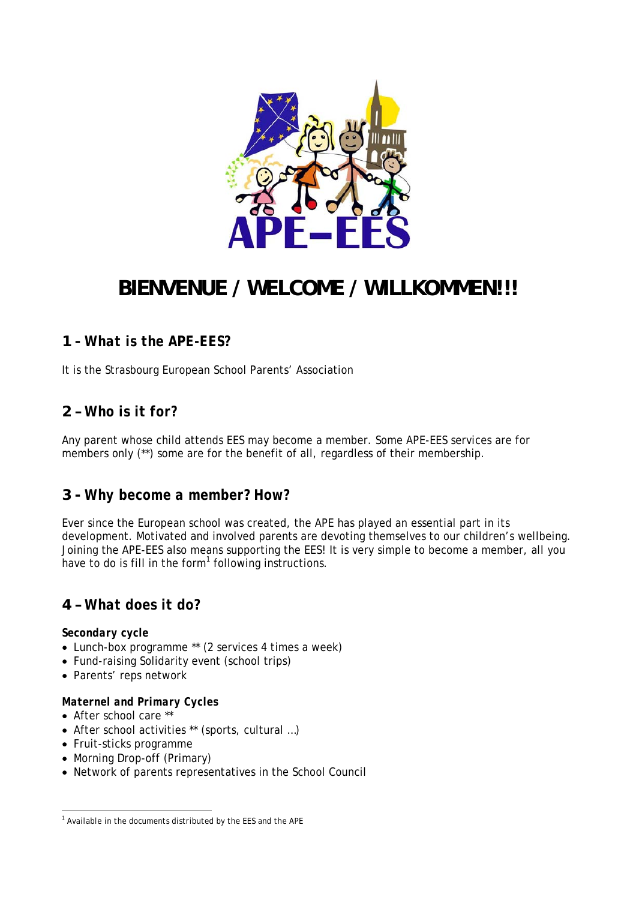

# **BIENVENUE / WELCOME / WILLKOMMEN!!!**

# **1 -** *What is the APE-EES?*

It is the Strasbourg European School Parents' Association

## **2 –** *Who is it for?*

Any parent whose child attends EES may become a member. Some APE-EES services are for members only (\*\*) some are for the benefit of all, regardless of their membership.

### **3 -** *Why become a member? How?*

Ever since the European school was created, the APE has played an essential part in its development. Motivated and involved parents are devoting themselves to our children's wellbeing. Joining the APE-EES also means supporting the EES! It is very simple to become a member, all you have to do is fill in the form $1$  following instructions.

## **4 –** *What does it do?*

#### *Secondary cycle*

- Lunch-box programme \*\* (2 services 4 times a week)
- Fund-raising Solidarity event (school trips)
- Parents' reps network

#### *Maternel and Primary Cycles*

- After school care \*\*
- After school activities \*\* (sports, cultural …)
- Fruit-sticks programme
- Morning Drop-off (Primary)
- Network of parents representatives in the School Council

 *1 Available in the documents distributed by the EES and the APE*